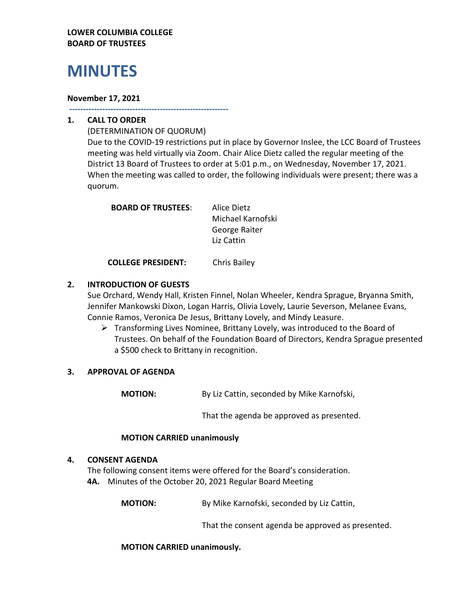## **LOWER COLUMBIA COLLEGE BOARD OF TRUSTEES**

# **MINUTES**

#### **November 17, 2021**

**----------------------------------------------------------**

## **1. CALL TO ORDER**

(DETERMINATION OF QUORUM) Due to the COVID-19 restrictions put in place by Governor Inslee, the LCC Board of Trustees meeting was held virtually via Zoom. Chair Alice Dietz called the regular meeting of the District 13 Board of Trustees to order at 5:01 p.m., on Wednesday, November 17, 2021. When the meeting was called to order, the following individuals were present; there was a quorum.

| <b>BOARD OF TRUSTEES:</b> | Alice Dietz       |
|---------------------------|-------------------|
|                           | Michael Karnofski |
|                           | George Raiter     |
|                           | Liz Cattin        |
|                           |                   |

**COLLEGE PRESIDENT:** Chris Bailey

## **2. INTRODUCTION OF GUESTS**

Sue Orchard, Wendy Hall, Kristen Finnel, Nolan Wheeler, Kendra Sprague, Bryanna Smith, Jennifer Mankowski Dixon, Logan Harris, Olivia Lovely, Laurie Severson, Melanee Evans, Connie Ramos, Veronica De Jesus, Brittany Lovely, and Mindy Leasure.

➢ Transforming Lives Nominee, Brittany Lovely, was introduced to the Board of Trustees. On behalf of the Foundation Board of Directors, Kendra Sprague presented a \$500 check to Brittany in recognition.

## **3. APPROVAL OF AGENDA**

**MOTION:** By Liz Cattin, seconded by Mike Karnofski,

That the agenda be approved as presented.

## **MOTION CARRIED unanimously**

## **4. CONSENT AGENDA**

The following consent items were offered for the Board's consideration. **4A.** Minutes of the October 20, 2021 Regular Board Meeting

**MOTION:** By Mike Karnofski, seconded by Liz Cattin,

That the consent agenda be approved as presented.

**MOTION CARRIED unanimously.**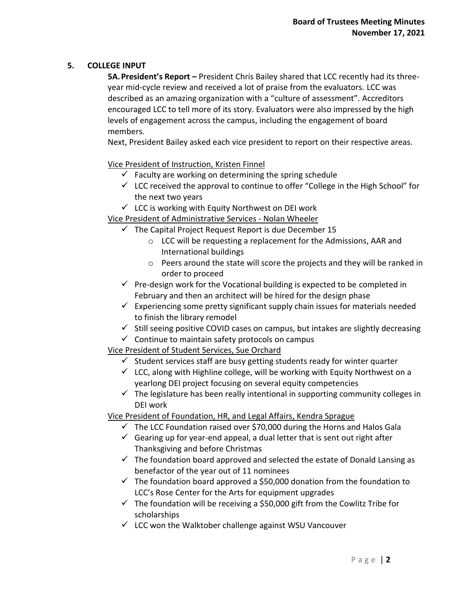## **5. COLLEGE INPUT**

**5A.President's Report –** President Chris Bailey shared that LCC recently had its threeyear mid-cycle review and received a lot of praise from the evaluators. LCC was described as an amazing organization with a "culture of assessment". Accreditors encouraged LCC to tell more of its story. Evaluators were also impressed by the high levels of engagement across the campus, including the engagement of board members.

Next, President Bailey asked each vice president to report on their respective areas.

Vice President of Instruction, Kristen Finnel

- $\checkmark$  Faculty are working on determining the spring schedule
- $\checkmark$  LCC received the approval to continue to offer "College in the High School" for the next two years
- $\checkmark$  LCC is working with Equity Northwest on DEI work

# Vice President of Administrative Services - Nolan Wheeler

- $\checkmark$  The Capital Project Request Report is due December 15
	- o LCC will be requesting a replacement for the Admissions, AAR and International buildings
	- o Peers around the state will score the projects and they will be ranked in order to proceed
- $\checkmark$  Pre-design work for the Vocational building is expected to be completed in February and then an architect will be hired for the design phase
- $\checkmark$  Experiencing some pretty significant supply chain issues for materials needed to finish the library remodel
- $\checkmark$  Still seeing positive COVID cases on campus, but intakes are slightly decreasing
- $\checkmark$  Continue to maintain safety protocols on campus

# Vice President of Student Services, Sue Orchard

- $\checkmark$  Student services staff are busy getting students ready for winter quarter
- $\checkmark$  LCC, along with Highline college, will be working with Equity Northwest on a yearlong DEI project focusing on several equity competencies
- $\checkmark$  The legislature has been really intentional in supporting community colleges in DEI work

Vice President of Foundation, HR, and Legal Affairs, Kendra Sprague

- $\checkmark$  The LCC Foundation raised over \$70,000 during the Horns and Halos Gala
- $\checkmark$  Gearing up for year-end appeal, a dual letter that is sent out right after Thanksgiving and before Christmas
- $\checkmark$  The foundation board approved and selected the estate of Donald Lansing as benefactor of the year out of 11 nominees
- $\checkmark$  The foundation board approved a \$50,000 donation from the foundation to LCC's Rose Center for the Arts for equipment upgrades
- $\checkmark$  The foundation will be receiving a \$50,000 gift from the Cowlitz Tribe for scholarships
- ✓ LCC won the Walktober challenge against WSU Vancouver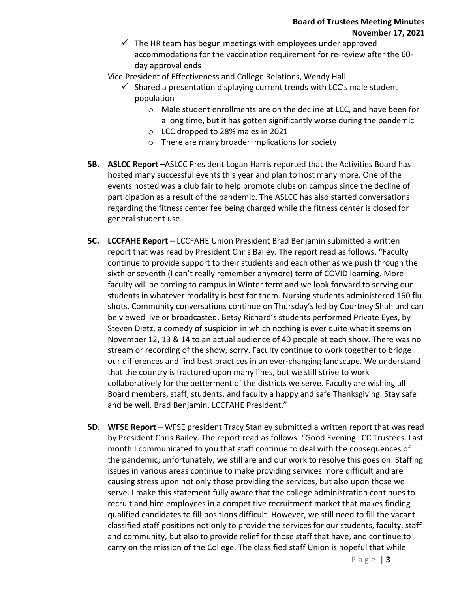$\checkmark$  The HR team has begun meetings with employees under approved accommodations for the vaccination requirement for re-review after the 60 day approval ends

Vice President of Effectiveness and College Relations, Wendy Hall

- $\checkmark$  Shared a presentation displaying current trends with LCC's male student population
	- o Male student enrollments are on the decline at LCC, and have been for a long time, but it has gotten significantly worse during the pandemic
	- o LCC dropped to 28% males in 2021
	- o There are many broader implications for society
- **5B. ASLCC Report** –ASLCC President Logan Harris reported that the Activities Board has hosted many successful events this year and plan to host many more. One of the events hosted was a club fair to help promote clubs on campus since the decline of participation as a result of the pandemic. The ASLCC has also started conversations regarding the fitness center fee being charged while the fitness center is closed for general student use.
- **5C. LCCFAHE Report** LCCFAHE Union President Brad Benjamin submitted a written report that was read by President Chris Bailey. The report read as follows. "Faculty continue to provide support to their students and each other as we push through the sixth or seventh (I can't really remember anymore) term of COVID learning. More faculty will be coming to campus in Winter term and we look forward to serving our students in whatever modality is best for them. Nursing students administered 160 flu shots. Community conversations continue on Thursday's led by Courtney Shah and can be viewed live or broadcasted. Betsy Richard's students performed Private Eyes, by Steven Dietz, a comedy of suspicion in which nothing is ever quite what it seems on November 12, 13 & 14 to an actual audience of 40 people at each show. There was no stream or recording of the show, sorry. Faculty continue to work together to bridge our differences and find best practices in an ever-changing landscape. We understand that the country is fractured upon many lines, but we still strive to work collaboratively for the betterment of the districts we serve. Faculty are wishing all Board members, staff, students, and faculty a happy and safe Thanksgiving. Stay safe and be well, Brad Benjamin, LCCFAHE President."
- **5D. WFSE Report** WFSE president Tracy Stanley submitted a written report that was read by President Chris Bailey. The report read as follows. "Good Evening LCC Trustees. Last month I communicated to you that staff continue to deal with the consequences of the pandemic; unfortunately, we still are and our work to resolve this goes on. Staffing issues in various areas continue to make providing services more difficult and are causing stress upon not only those providing the services, but also upon those we serve. I make this statement fully aware that the college administration continues to recruit and hire employees in a competitive recruitment market that makes finding qualified candidates to fill positions difficult. However, we still need to fill the vacant classified staff positions not only to provide the services for our students, faculty, staff and community, but also to provide relief for those staff that have, and continue to carry on the mission of the College. The classified staff Union is hopeful that while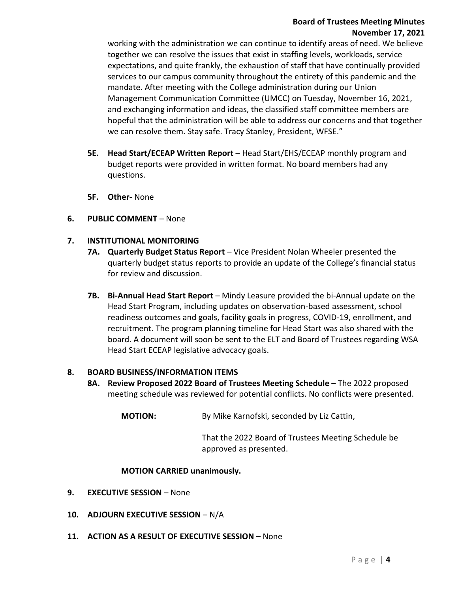## **Board of Trustees Meeting Minutes November 17, 2021**

working with the administration we can continue to identify areas of need. We believe together we can resolve the issues that exist in staffing levels, workloads, service expectations, and quite frankly, the exhaustion of staff that have continually provided services to our campus community throughout the entirety of this pandemic and the mandate. After meeting with the College administration during our Union Management Communication Committee (UMCC) on Tuesday, November 16, 2021, and exchanging information and ideas, the classified staff committee members are hopeful that the administration will be able to address our concerns and that together we can resolve them. Stay safe. Tracy Stanley, President, WFSE."

- **5E. Head Start/ECEAP Written Report** Head Start/EHS/ECEAP monthly program and budget reports were provided in written format. No board members had any questions.
- **5F. Other-** None
- **6. PUBLIC COMMENT**  None

## **7. INSTITUTIONAL MONITORING**

- **7A. Quarterly Budget Status Report** Vice President Nolan Wheeler presented the quarterly budget status reports to provide an update of the College's financial status for review and discussion.
- **7B.** Bi-Annual Head Start Report Mindy Leasure provided the bi-Annual update on the Head Start Program, including updates on observation-based assessment, school readiness outcomes and goals, facility goals in progress, COVID-19, enrollment, and recruitment. The program planning timeline for Head Start was also shared with the board. A document will soon be sent to the ELT and Board of Trustees regarding WSA Head Start ECEAP legislative advocacy goals.

#### **8. BOARD BUSINESS/INFORMATION ITEMS**

**8A. Review Proposed 2022 Board of Trustees Meeting Schedule** – The 2022 proposed meeting schedule was reviewed for potential conflicts. No conflicts were presented.

**MOTION:** By Mike Karnofski, seconded by Liz Cattin,

That the 2022 Board of Trustees Meeting Schedule be approved as presented.

#### **MOTION CARRIED unanimously.**

- **9. EXECUTIVE SESSION** None
- **10. ADJOURN EXECUTIVE SESSION** N/A
- **11. ACTION AS A RESULT OF EXECUTIVE SESSION** None